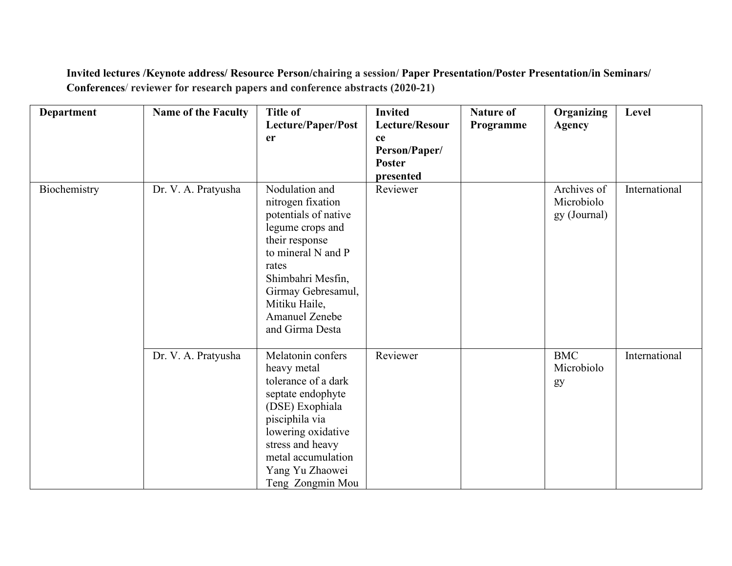**Invited lectures /Keynote address/ Resource Person/chairing a session/Paper Presentation/Poster Presentation/in Seminars/ Conferences**/ **reviewer for research papersand conference abstracts (2020-21)**

| <b>Department</b> | <b>Name of the Faculty</b> | <b>Title of</b><br>Lecture/Paper/Post                                                                                                                                                                                                    | <b>Invited</b><br>Lecture/Resour | <b>Nature of</b><br>Programme | Organizing<br><b>Agency</b>               | Level         |
|-------------------|----------------------------|------------------------------------------------------------------------------------------------------------------------------------------------------------------------------------------------------------------------------------------|----------------------------------|-------------------------------|-------------------------------------------|---------------|
|                   |                            | er                                                                                                                                                                                                                                       | ce                               |                               |                                           |               |
|                   |                            |                                                                                                                                                                                                                                          | Person/Paper/                    |                               |                                           |               |
|                   |                            |                                                                                                                                                                                                                                          | <b>Poster</b><br>presented       |                               |                                           |               |
| Biochemistry      | Dr. V. A. Pratyusha        | Nodulation and<br>nitrogen fixation<br>potentials of native<br>legume crops and<br>their response<br>to mineral N and P<br>rates<br>Shimbahri Mesfin,<br>Girmay Gebresamul,<br>Mitiku Haile,<br><b>Amanuel Zenebe</b><br>and Girma Desta | Reviewer                         |                               | Archives of<br>Microbiolo<br>gy (Journal) | International |
|                   | Dr. V. A. Pratyusha        | Melatonin confers<br>heavy metal<br>tolerance of a dark<br>septate endophyte<br>(DSE) Exophiala<br>pisciphila via<br>lowering oxidative<br>stress and heavy<br>metal accumulation<br>Yang Yu Zhaowei<br>Teng Zongmin Mou                 | Reviewer                         |                               | <b>BMC</b><br>Microbiolo<br>gy            | International |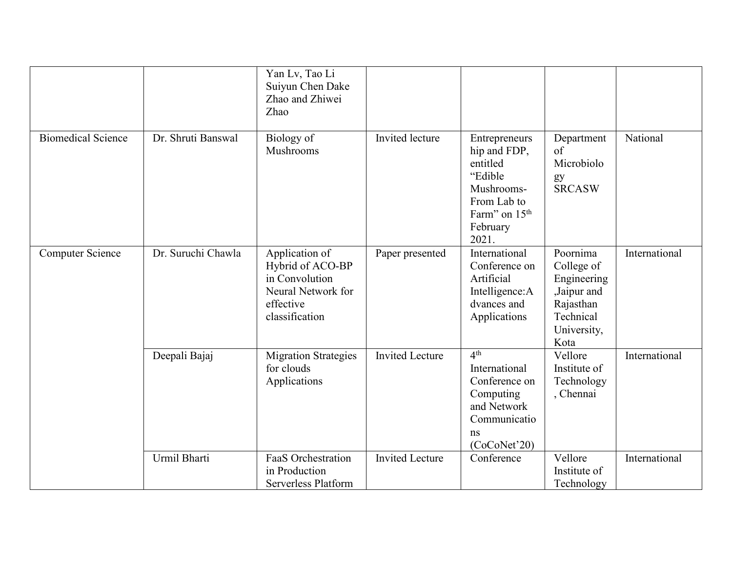|                           |                    | Yan Lv, Tao Li<br>Suiyun Chen Dake<br>Zhao and Zhiwei<br>Zhao                                             |                        |                                                                                                                                     |                                                                                                       |               |
|---------------------------|--------------------|-----------------------------------------------------------------------------------------------------------|------------------------|-------------------------------------------------------------------------------------------------------------------------------------|-------------------------------------------------------------------------------------------------------|---------------|
| <b>Biomedical Science</b> | Dr. Shruti Banswal | Biology of<br>Mushrooms                                                                                   | Invited lecture        | Entrepreneurs<br>hip and FDP,<br>entitled<br>"Edible<br>Mushrooms-<br>From Lab to<br>Farm" on 15 <sup>th</sup><br>February<br>2021. | Department<br>of<br>Microbiolo<br>gy<br><b>SRCASW</b>                                                 | National      |
| <b>Computer Science</b>   | Dr. Suruchi Chawla | Application of<br>Hybrid of ACO-BP<br>in Convolution<br>Neural Network for<br>effective<br>classification | Paper presented        | International<br>Conference on<br>Artificial<br>Intelligence: A<br>dvances and<br>Applications                                      | Poornima<br>College of<br>Engineering<br>,Jaipur and<br>Rajasthan<br>Technical<br>University,<br>Kota | International |
|                           | Deepali Bajaj      | <b>Migration Strategies</b><br>for clouds<br>Applications                                                 | <b>Invited Lecture</b> | 4 <sup>th</sup><br>International<br>Conference on<br>Computing<br>and Network<br>Communicatio<br>ns<br>(CoCoNet'20)                 | Vellore<br>Institute of<br>Technology<br>, Chennai                                                    | International |
|                           | Urmil Bharti       | FaaS Orchestration<br>in Production<br>Serverless Platform                                                | <b>Invited Lecture</b> | Conference                                                                                                                          | Vellore<br>Institute of<br>Technology                                                                 | International |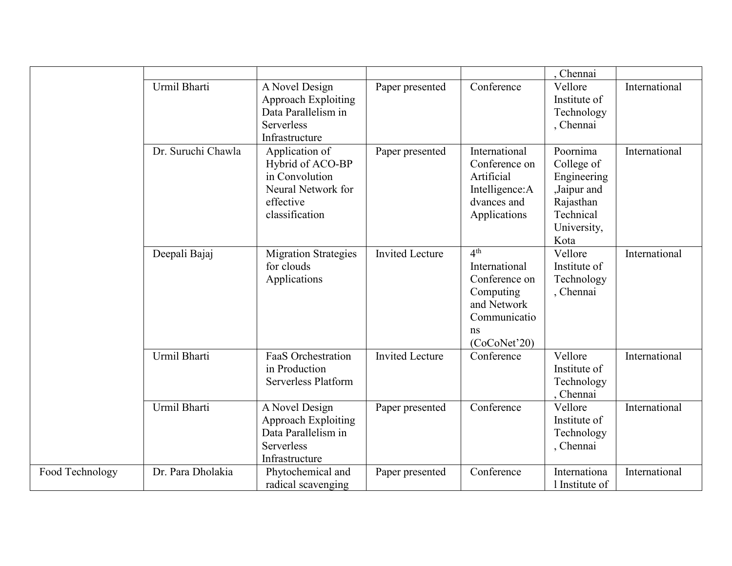|                 |                    |                                                                                                            |                        |                                                                                                                     | , Chennai                                                                                             |               |
|-----------------|--------------------|------------------------------------------------------------------------------------------------------------|------------------------|---------------------------------------------------------------------------------------------------------------------|-------------------------------------------------------------------------------------------------------|---------------|
|                 | Urmil Bharti       | A Novel Design<br><b>Approach Exploiting</b><br>Data Parallelism in<br><b>Serverless</b><br>Infrastructure | Paper presented        | Conference                                                                                                          | Vellore<br>Institute of<br>Technology<br>, Chennai                                                    | International |
|                 | Dr. Suruchi Chawla | Application of<br>Hybrid of ACO-BP<br>in Convolution<br>Neural Network for<br>effective<br>classification  | Paper presented        | International<br>Conference on<br>Artificial<br>Intelligence: A<br>dvances and<br>Applications                      | Poornima<br>College of<br>Engineering<br>,Jaipur and<br>Rajasthan<br>Technical<br>University,<br>Kota | International |
|                 | Deepali Bajaj      | <b>Migration Strategies</b><br>for clouds<br>Applications                                                  | <b>Invited Lecture</b> | 4 <sup>th</sup><br>International<br>Conference on<br>Computing<br>and Network<br>Communicatio<br>ns<br>(CoCoNet'20) | Vellore<br>Institute of<br>Technology<br>, Chennai                                                    | International |
|                 | Urmil Bharti       | <b>FaaS</b> Orchestration<br>in Production<br>Serverless Platform                                          | <b>Invited Lecture</b> | Conference                                                                                                          | Vellore<br>Institute of<br>Technology<br>Chennai                                                      | International |
|                 | Urmil Bharti       | A Novel Design<br><b>Approach Exploiting</b><br>Data Parallelism in<br><b>Serverless</b><br>Infrastructure | Paper presented        | Conference                                                                                                          | Vellore<br>Institute of<br>Technology<br>, Chennai                                                    | International |
| Food Technology | Dr. Para Dholakia  | Phytochemical and<br>radical scavenging                                                                    | Paper presented        | Conference                                                                                                          | Internationa<br>1 Institute of                                                                        | International |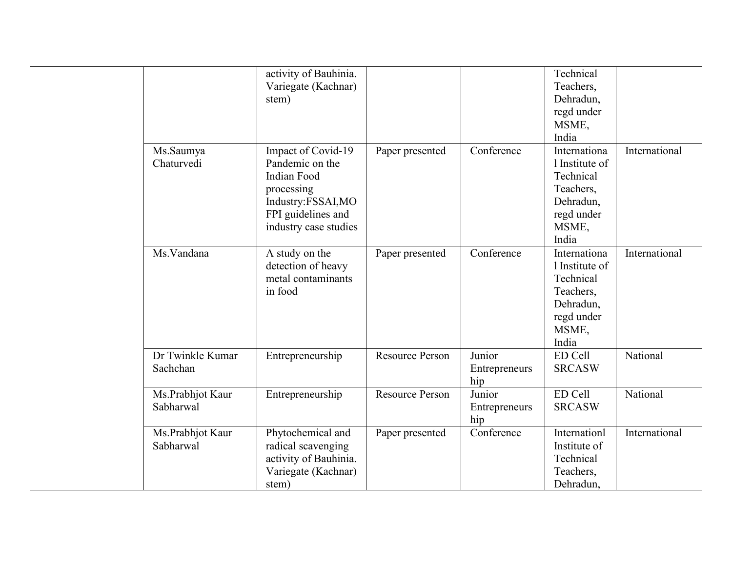|                               | activity of Bauhinia.<br>Variegate (Kachnar)<br>stem)                                                                                  |                        |                                | Technical<br>Teachers,<br>Dehradun,<br>regd under<br>MSME,<br>India                                   |               |
|-------------------------------|----------------------------------------------------------------------------------------------------------------------------------------|------------------------|--------------------------------|-------------------------------------------------------------------------------------------------------|---------------|
| Ms.Saumya<br>Chaturvedi       | Impact of Covid-19<br>Pandemic on the<br>Indian Food<br>processing<br>Industry:FSSAI,MO<br>FPI guidelines and<br>industry case studies | Paper presented        | Conference                     | Internationa<br>1 Institute of<br>Technical<br>Teachers,<br>Dehradun,<br>regd under<br>MSME,<br>India | International |
| Ms.Vandana                    | A study on the<br>detection of heavy<br>metal contaminants<br>in food                                                                  | Paper presented        | Conference                     | Internationa<br>1 Institute of<br>Technical<br>Teachers,<br>Dehradun,<br>regd under<br>MSME,<br>India | International |
| Dr Twinkle Kumar<br>Sachchan  | Entrepreneurship                                                                                                                       | <b>Resource Person</b> | Junior<br>Entrepreneurs<br>hip | ED Cell<br><b>SRCASW</b>                                                                              | National      |
| Ms.Prabhjot Kaur<br>Sabharwal | Entrepreneurship                                                                                                                       | <b>Resource Person</b> | Junior<br>Entrepreneurs<br>hip | ED Cell<br><b>SRCASW</b>                                                                              | National      |
| Ms.Prabhjot Kaur<br>Sabharwal | Phytochemical and<br>radical scavenging<br>activity of Bauhinia.<br>Variegate (Kachnar)<br>stem)                                       | Paper presented        | Conference                     | Internationl<br>Institute of<br>Technical<br>Teachers,<br>Dehradun,                                   | International |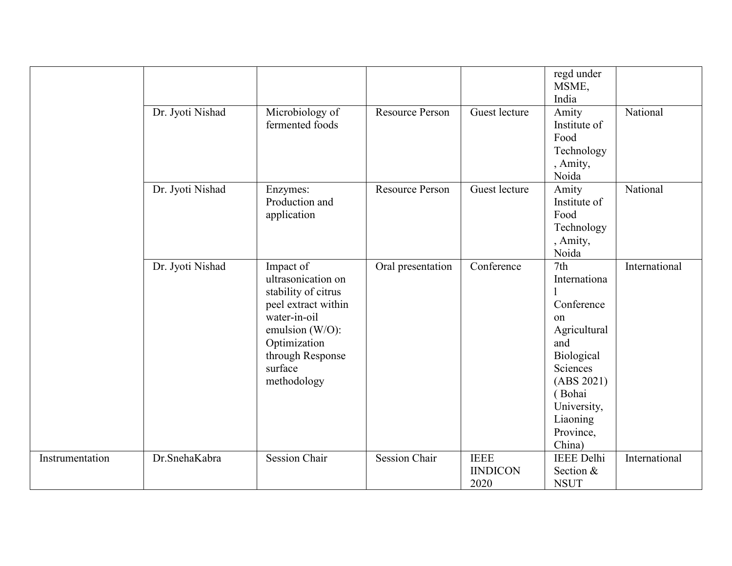|                 |                  |                                                                                                                                                                                |                        |                                        | regd under<br>MSME,<br>India                                                                                                                                                   |               |
|-----------------|------------------|--------------------------------------------------------------------------------------------------------------------------------------------------------------------------------|------------------------|----------------------------------------|--------------------------------------------------------------------------------------------------------------------------------------------------------------------------------|---------------|
|                 | Dr. Jyoti Nishad | Microbiology of<br>fermented foods                                                                                                                                             | <b>Resource Person</b> | Guest lecture                          | Amity<br>Institute of<br>Food<br>Technology<br>, Amity,<br>Noida                                                                                                               | National      |
|                 | Dr. Jyoti Nishad | Enzymes:<br>Production and<br>application                                                                                                                                      | <b>Resource Person</b> | Guest lecture                          | Amity<br>Institute of<br>Food<br>Technology<br>, Amity,<br>Noida                                                                                                               | National      |
|                 | Dr. Jyoti Nishad | Impact of<br>ultrasonication on<br>stability of citrus<br>peel extract within<br>water-in-oil<br>emulsion (W/O):<br>Optimization<br>through Response<br>surface<br>methodology | Oral presentation      | Conference                             | 7 <sub>th</sub><br>Internationa<br>Conference<br>on<br>Agricultural<br>and<br>Biological<br>Sciences<br>(ABS 2021)<br>(Bohai<br>University,<br>Liaoning<br>Province,<br>China) | International |
| Instrumentation | Dr.SnehaKabra    | <b>Session Chair</b>                                                                                                                                                           | <b>Session Chair</b>   | <b>IEEE</b><br><b>IINDICON</b><br>2020 | <b>IEEE</b> Delhi<br>Section &<br><b>NSUT</b>                                                                                                                                  | International |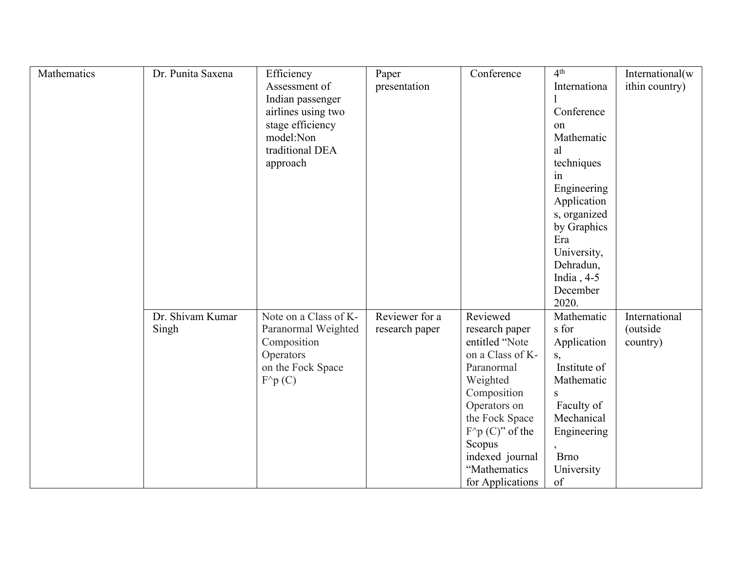| Mathematics | Dr. Punita Saxena | Efficiency            | Paper          | Conference                  | 4 <sup>th</sup> | International(w |
|-------------|-------------------|-----------------------|----------------|-----------------------------|-----------------|-----------------|
|             |                   | Assessment of         | presentation   |                             | Internationa    | ithin country)  |
|             |                   | Indian passenger      |                |                             |                 |                 |
|             |                   | airlines using two    |                |                             | Conference      |                 |
|             |                   | stage efficiency      |                |                             | on              |                 |
|             |                   | model:Non             |                |                             | Mathematic      |                 |
|             |                   | traditional DEA       |                |                             | al              |                 |
|             |                   | approach              |                |                             | techniques      |                 |
|             |                   |                       |                |                             | in              |                 |
|             |                   |                       |                |                             | Engineering     |                 |
|             |                   |                       |                |                             | Application     |                 |
|             |                   |                       |                |                             | s, organized    |                 |
|             |                   |                       |                |                             | by Graphics     |                 |
|             |                   |                       |                |                             | Era             |                 |
|             |                   |                       |                |                             | University,     |                 |
|             |                   |                       |                |                             | Dehradun,       |                 |
|             |                   |                       |                |                             | India, $4-5$    |                 |
|             |                   |                       |                |                             | December        |                 |
|             |                   |                       |                |                             | 2020.           |                 |
|             | Dr. Shivam Kumar  | Note on a Class of K- | Reviewer for a | Reviewed                    | Mathematic      | International   |
|             | Singh             | Paranormal Weighted   | research paper | research paper              | s for           | (outside        |
|             |                   | Composition           |                | entitled "Note              | Application     | country)        |
|             |                   | Operators             |                | on a Class of K-            | S,              |                 |
|             |                   | on the Fock Space     |                | Paranormal                  | Institute of    |                 |
|             |                   | $F^{\wedge}p(C)$      |                | Weighted                    | Mathematic      |                 |
|             |                   |                       |                | Composition                 | S               |                 |
|             |                   |                       |                | Operators on                | Faculty of      |                 |
|             |                   |                       |                | the Fock Space              | Mechanical      |                 |
|             |                   |                       |                | $F^{\wedge}p(C)^{n}$ of the | Engineering     |                 |
|             |                   |                       |                | Scopus                      |                 |                 |
|             |                   |                       |                | indexed journal             | <b>Brno</b>     |                 |
|             |                   |                       |                | "Mathematics                | University      |                 |
|             |                   |                       |                | for Applications            | of              |                 |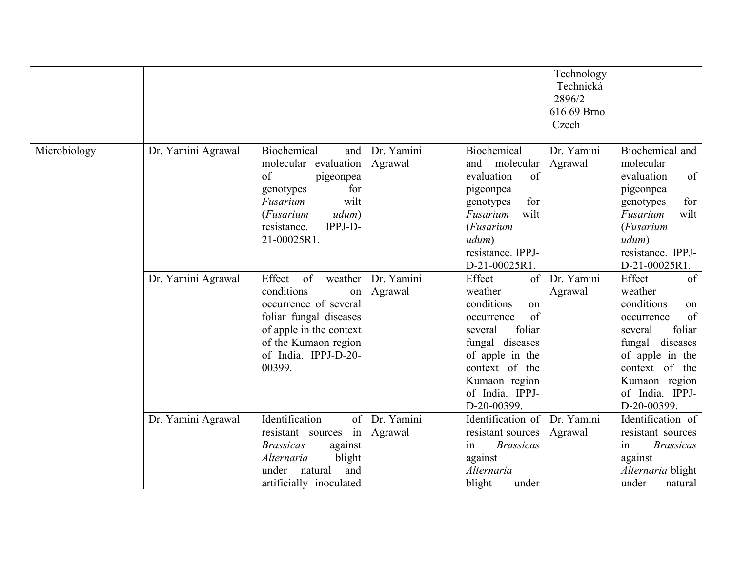|              |                    |                                                                                                                                                                                     |                       |                                                                                                                                                                                                 | Technology<br>Technická<br>2896/2<br>616 69 Brno<br>Czech |                                                                                                                                                                                                    |
|--------------|--------------------|-------------------------------------------------------------------------------------------------------------------------------------------------------------------------------------|-----------------------|-------------------------------------------------------------------------------------------------------------------------------------------------------------------------------------------------|-----------------------------------------------------------|----------------------------------------------------------------------------------------------------------------------------------------------------------------------------------------------------|
| Microbiology | Dr. Yamini Agrawal | Biochemical<br>and<br>molecular evaluation<br>of<br>pigeonpea<br>genotypes<br>for<br>wilt<br>Fusarium<br>udum)<br>( <i>Fusarium</i><br>IPPJ-D-<br>resistance.<br>21-00025R1.        | Dr. Yamini<br>Agrawal | Biochemical<br>and molecular<br>evaluation<br>of<br>pigeonpea<br>for<br>genotypes<br>wilt<br>Fusarium<br>( <i>Fusarium</i><br>udum)<br>resistance. IPPJ-<br>D-21-00025R1.                       | Dr. Yamini<br>Agrawal                                     | Biochemical and<br>molecular<br>of<br>evaluation<br>pigeonpea<br>for<br>genotypes<br>wilt<br>Fusarium<br>( <i>Fusarium</i><br>udum)<br>resistance. IPPJ-<br>D-21-00025R1.                          |
|              | Dr. Yamini Agrawal | of<br>Effect<br>weather<br>conditions<br>on<br>occurrence of several<br>foliar fungal diseases<br>of apple in the context<br>of the Kumaon region<br>of India. IPPJ-D-20-<br>00399. | Dr. Yamini<br>Agrawal | Effect<br>of<br>weather<br>conditions<br>on<br>of<br>occurrence<br>foliar<br>several<br>fungal diseases<br>of apple in the<br>context of the<br>Kumaon region<br>of India. IPPJ-<br>D-20-00399. | Dr. Yamini<br>Agrawal                                     | Effect<br>of<br>weather<br>conditions<br>on<br>of<br>occurrence<br>foliar<br>several<br>diseases<br>fungal<br>of apple in the<br>context of the<br>Kumaon region<br>of India. IPPJ-<br>D-20-00399. |
|              | Dr. Yamini Agrawal | Identification<br>$\vert$ of $\vert$<br>resistant sources<br>$in +$<br><i>Brassicas</i><br>against<br>blight<br>Alternaria<br>under<br>natural<br>and<br>artificially inoculated    | Dr. Yamini<br>Agrawal | Identification of<br>resistant sources<br><b>Brassicas</b><br>in<br>against<br>Alternaria<br>blight<br>under                                                                                    | Dr. Yamini<br>Agrawal                                     | Identification of<br>resistant sources<br><b>Brassicas</b><br>1n<br>against<br>Alternaria blight<br>under<br>natural                                                                               |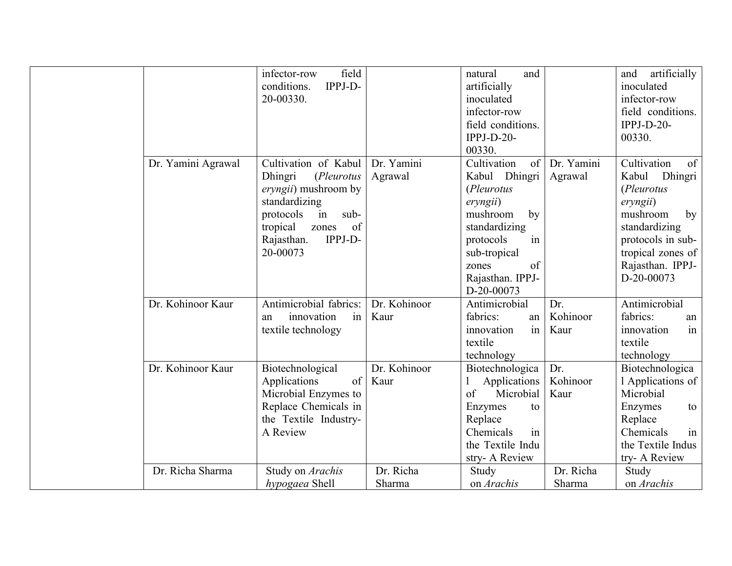|                    | field<br>infector-row   |              | and<br>natural    |            | artificially<br>and     |
|--------------------|-------------------------|--------------|-------------------|------------|-------------------------|
|                    | IPPJ-D-<br>conditions.  |              | artificially      |            | inoculated              |
|                    | 20-00330.               |              | inoculated        |            | infector-row            |
|                    |                         |              | infector-row      |            | field conditions.       |
|                    |                         |              | field conditions. |            | $IPPI-D-20-$            |
|                    |                         |              | $IPPI-D-20-$      |            | 00330.                  |
|                    |                         |              | 00330.            |            |                         |
| Dr. Yamini Agrawal | Cultivation of Kabul    | Dr. Yamini   | Cultivation<br>of | Dr. Yamini | Cultivation<br>$\sigma$ |
|                    | Dhingri<br>(Pleurotus   | Agrawal      | Kabul Dhingri     | Agrawal    | Kabul Dhingri           |
|                    | eryngii) mushroom by    |              | (Pleurotus        |            | (Pleurotus              |
|                    | standardizing           |              | eryngii)          |            | eryngii)                |
|                    | sub-<br>protocols<br>in |              | mushroom<br>by    |            | mushroom<br>by          |
|                    | of<br>tropical<br>zones |              | standardizing     |            | standardizing           |
|                    | IPPJ-D-<br>Rajasthan.   |              | protocols<br>in   |            | protocols in sub-       |
|                    | 20-00073                |              | sub-tropical      |            | tropical zones of       |
|                    |                         |              | of<br>zones       |            | Rajasthan. IPPJ-        |
|                    |                         |              | Rajasthan. IPPJ-  |            | D-20-00073              |
|                    |                         |              | D-20-00073        |            |                         |
| Dr. Kohinoor Kaur  | Antimicrobial fabrics:  | Dr. Kohinoor | Antimicrobial     | Dr.        | Antimicrobial           |
|                    | innovation<br>in<br>an  | Kaur         | fabrics:<br>an    | Kohinoor   | fabrics:<br>an          |
|                    | textile technology      |              | innovation<br>1n  | Kaur       | innovation<br>in        |
|                    |                         |              | textile           |            | textile                 |
|                    |                         |              | technology        |            | technology              |
| Dr. Kohinoor Kaur  | Biotechnological        | Dr. Kohinoor | Biotechnologica   | Dr.        | Biotechnologica         |
|                    | Applications<br>of      | Kaur         | Applications      | Kohinoor   | 1 Applications of       |
|                    | Microbial Enzymes to    |              | Microbial<br>of   | Kaur       | Microbial               |
|                    | Replace Chemicals in    |              | Enzymes<br>to     |            | Enzymes<br>to           |
|                    | the Textile Industry-   |              | Replace           |            | Replace                 |
|                    | A Review                |              | Chemicals<br>in   |            | Chemicals<br>in         |
|                    |                         |              | the Textile Indu  |            | the Textile Indus       |
|                    |                         |              | stry- A Review    |            | try- A Review           |
| Dr. Richa Sharma   | Study on Arachis        | Dr. Richa    | Study             | Dr. Richa  | Study                   |
|                    | hypogaea Shell          | Sharma       | on <i>Arachis</i> | Sharma     | on <i>Arachis</i>       |
|                    |                         |              |                   |            |                         |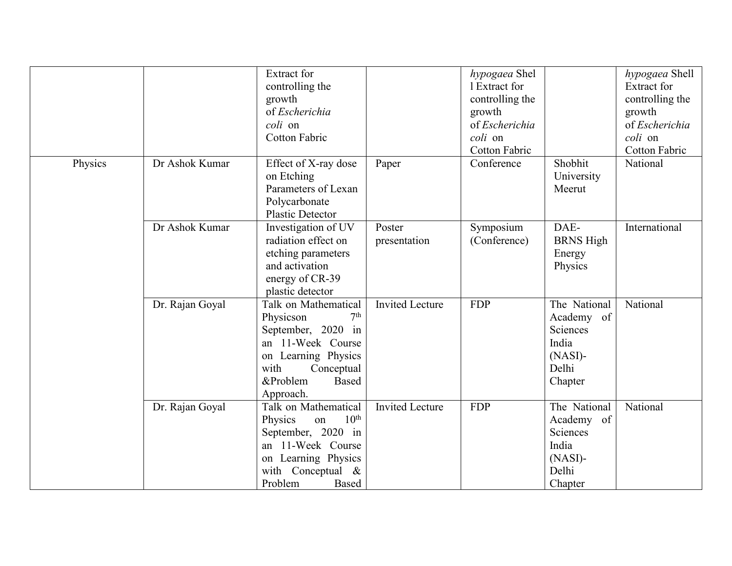|         |                 | <b>Extract for</b><br>controlling the<br>growth<br>of Escherichia<br>coli on<br><b>Cotton Fabric</b>                                                                                  |                        | hypogaea Shel<br>1 Extract for<br>controlling the<br>growth<br>of Escherichia<br>coli on<br>Cotton Fabric |                                                                                   | hypogaea Shell<br>Extract for<br>controlling the<br>growth<br>of Escherichia<br>coli on<br><b>Cotton Fabric</b> |
|---------|-----------------|---------------------------------------------------------------------------------------------------------------------------------------------------------------------------------------|------------------------|-----------------------------------------------------------------------------------------------------------|-----------------------------------------------------------------------------------|-----------------------------------------------------------------------------------------------------------------|
| Physics | Dr Ashok Kumar  | Effect of X-ray dose<br>on Etching<br>Parameters of Lexan<br>Polycarbonate<br><b>Plastic Detector</b>                                                                                 | Paper                  | Conference                                                                                                | Shobhit<br>University<br>Meerut                                                   | National                                                                                                        |
|         | Dr Ashok Kumar  | Investigation of UV<br>radiation effect on<br>etching parameters<br>and activation<br>energy of CR-39<br>plastic detector                                                             | Poster<br>presentation | Symposium<br>(Conference)                                                                                 | DAE-<br><b>BRNS</b> High<br>Energy<br>Physics                                     | International                                                                                                   |
|         | Dr. Rajan Goyal | Talk on Mathematical<br>Physicson<br>7 <sup>th</sup><br>September, 2020 in<br>an 11-Week Course<br>on Learning Physics<br>with<br>Conceptual<br>&Problem<br><b>Based</b><br>Approach. | <b>Invited Lecture</b> | <b>FDP</b>                                                                                                | The National<br>Academy of<br>Sciences<br>India<br>$(NASI)$ -<br>Delhi<br>Chapter | National                                                                                                        |
|         | Dr. Rajan Goyal | Talk on Mathematical<br>$10^{\text{th}}$<br>Physics<br>on<br>September, 2020 in<br>an 11-Week Course<br>on Learning Physics<br>with Conceptual &<br>Problem<br>Based                  | <b>Invited Lecture</b> | <b>FDP</b>                                                                                                | The National<br>Academy of<br>Sciences<br>India<br>$(NASI)$ -<br>Delhi<br>Chapter | National                                                                                                        |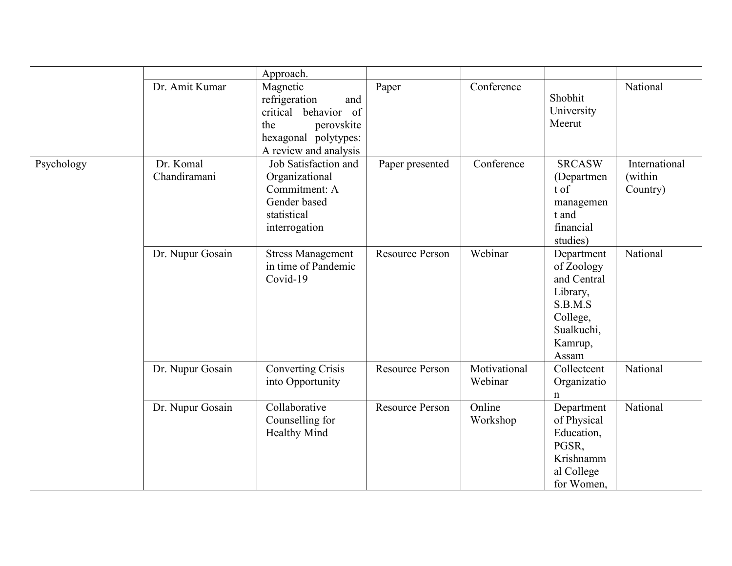|            |                           | Approach.                                                                                                                                    |                        |                         |                                                                                                              |                                      |
|------------|---------------------------|----------------------------------------------------------------------------------------------------------------------------------------------|------------------------|-------------------------|--------------------------------------------------------------------------------------------------------------|--------------------------------------|
|            | Dr. Amit Kumar            | Magnetic<br>refrigeration<br>and<br>critical behavior<br><sub>of</sub><br>the<br>perovskite<br>hexagonal polytypes:<br>A review and analysis | Paper                  | Conference              | Shobhit<br>University<br>Meerut                                                                              | National                             |
| Psychology | Dr. Komal<br>Chandiramani | Job Satisfaction and<br>Organizational<br>Commitment: A<br>Gender based<br>statistical<br>interrogation                                      | Paper presented        | Conference              | <b>SRCASW</b><br>(Departmen<br>t of<br>managemen<br>t and<br>financial<br>studies)                           | International<br>(within<br>Country) |
|            | Dr. Nupur Gosain          | <b>Stress Management</b><br>in time of Pandemic<br>Covid-19                                                                                  | <b>Resource Person</b> | Webinar                 | Department<br>of Zoology<br>and Central<br>Library,<br>S.B.M.S<br>College,<br>Sualkuchi,<br>Kamrup,<br>Assam | National                             |
|            | Dr. Nupur Gosain          | <b>Converting Crisis</b><br>into Opportunity                                                                                                 | <b>Resource Person</b> | Motivational<br>Webinar | Collectcent<br>Organizatio<br>n                                                                              | National                             |
|            | Dr. Nupur Gosain          | Collaborative<br>Counselling for<br>Healthy Mind                                                                                             | <b>Resource Person</b> | Online<br>Workshop      | Department<br>of Physical<br>Education,<br>PGSR,<br>Krishnamm<br>al College<br>for Women,                    | National                             |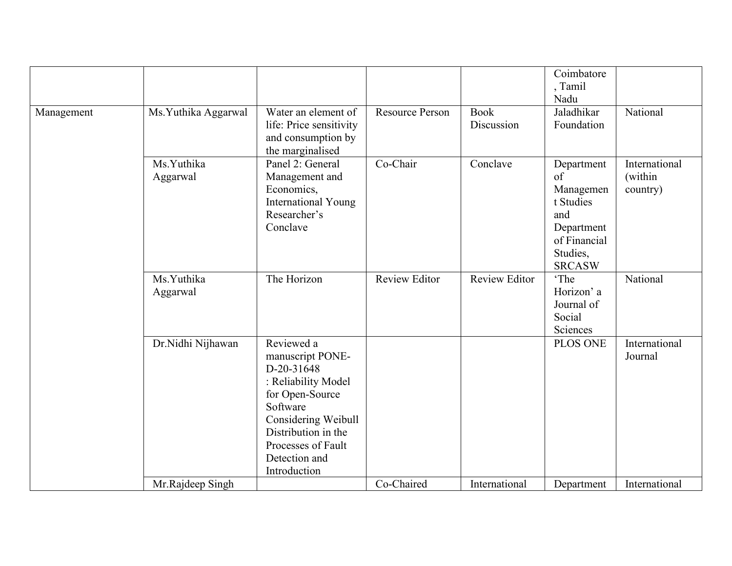|            |                        | Water an element of                                                                                                                                                                                     | <b>Resource Person</b> | <b>Book</b>          | Coimbatore<br>, Tamil<br>Nadu<br>Jaladhikar                                                                        | National                             |
|------------|------------------------|---------------------------------------------------------------------------------------------------------------------------------------------------------------------------------------------------------|------------------------|----------------------|--------------------------------------------------------------------------------------------------------------------|--------------------------------------|
| Management | Ms.Yuthika Aggarwal    | life: Price sensitivity<br>and consumption by<br>the marginalised                                                                                                                                       |                        | Discussion           | Foundation                                                                                                         |                                      |
|            | Ms.Yuthika<br>Aggarwal | Panel 2: General<br>Management and<br>Economics,<br>International Young<br>Researcher's<br>Conclave                                                                                                     | Co-Chair               | Conclave             | Department<br>$\sigma$<br>Managemen<br>t Studies<br>and<br>Department<br>of Financial<br>Studies,<br><b>SRCASW</b> | International<br>(within<br>country) |
|            | Ms.Yuthika<br>Aggarwal | The Horizon                                                                                                                                                                                             | <b>Review Editor</b>   | <b>Review Editor</b> | 'The<br>Horizon' a<br>Journal of<br>Social<br>Sciences                                                             | National                             |
|            | Dr.Nidhi Nijhawan      | Reviewed a<br>manuscript PONE-<br>D-20-31648<br>: Reliability Model<br>for Open-Source<br>Software<br>Considering Weibull<br>Distribution in the<br>Processes of Fault<br>Detection and<br>Introduction |                        |                      | PLOS ONE                                                                                                           | International<br>Journal             |
|            | Mr.Rajdeep Singh       |                                                                                                                                                                                                         | Co-Chaired             | International        | Department                                                                                                         | International                        |